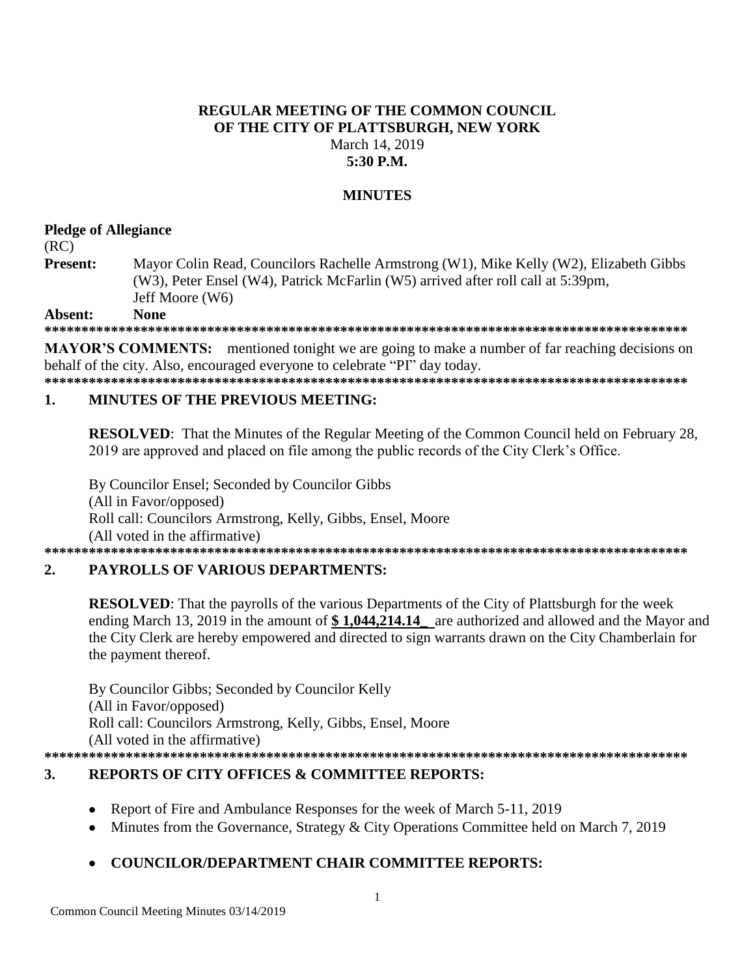### **REGULAR MEETING OF THE COMMON COUNCIL** OF THE CITY OF PLATTSBURGH, NEW YORK March 14, 2019  $5:30$  P.M.

### **MINUTES**

### **Pledge of Allegiance**

 $(RC)$ 

Present: Mayor Colin Read, Councilors Rachelle Armstrong (W1), Mike Kelly (W2), Elizabeth Gibbs (W3), Peter Ensel (W4), Patrick McFarlin (W5) arrived after roll call at 5:39pm, Jeff Moore (W6)

Absent: **None** 

**MAYOR'S COMMENTS:** mentioned tonight we are going to make a number of far reaching decisions on behalf of the city. Also, encouraged everyone to celebrate "PI" day today.

#### **MINUTES OF THE PREVIOUS MEETING:** 1.

RESOLVED: That the Minutes of the Regular Meeting of the Common Council held on February 28, 2019 are approved and placed on file among the public records of the City Clerk's Office.

By Councilor Ensel; Seconded by Councilor Gibbs (All in Favor/opposed) Roll call: Councilors Armstrong, Kelly, Gibbs, Ensel, Moore (All voted in the affirmative) 

#### **PAYROLLS OF VARIOUS DEPARTMENTS:**  $\overline{2}$ .

**RESOLVED:** That the payrolls of the various Departments of the City of Plattsburgh for the week ending March 13, 2019 in the amount of  $$1,044,214.14$  are authorized and allowed and the Mayor and the City Clerk are hereby empowered and directed to sign warrants drawn on the City Chamberlain for the payment thereof.

By Councilor Gibbs; Seconded by Councilor Kelly (All in Favor/opposed) Roll call: Councilors Armstrong, Kelly, Gibbs, Ensel, Moore (All voted in the affirmative) 

#### **REPORTS OF CITY OFFICES & COMMITTEE REPORTS:** 3.

- Report of Fire and Ambulance Responses for the week of March 5-11, 2019  $\bullet$
- Minutes from the Governance, Strategy & City Operations Committee held on March 7, 2019  $\bullet$

## **COUNCILOR/DEPARTMENT CHAIR COMMITTEE REPORTS:**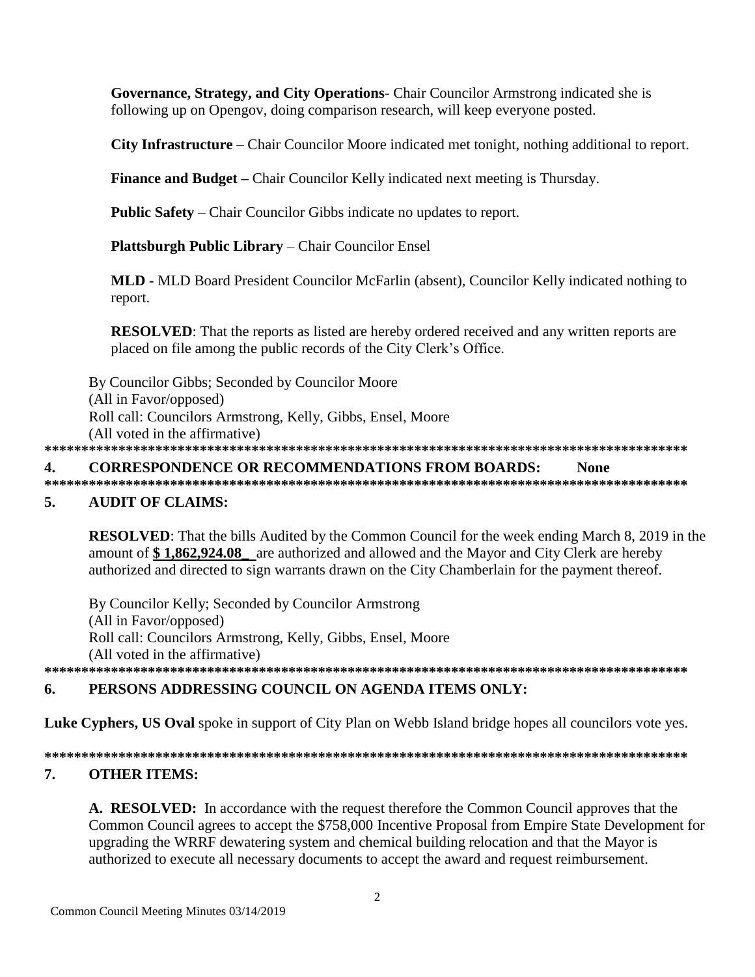Governance, Strategy, and City Operations- Chair Councilor Armstrong indicated she is following up on Opengov, doing comparison research, will keep everyone posted.

**City Infrastructure** – Chair Councilor Moore indicated met tonight, nothing additional to report.

**Finance and Budget** – Chair Councilor Kelly indicated next meeting is Thursday.

**Public Safety** – Chair Councilor Gibbs indicate no updates to report.

**Plattsburgh Public Library – Chair Councilor Ensel** 

**MLD - MLD Board President Councilor McFarlin (absent), Councilor Kelly indicated nothing to** report.

**RESOLVED:** That the reports as listed are hereby ordered received and any written reports are placed on file among the public records of the City Clerk's Office.

By Councilor Gibbs; Seconded by Councilor Moore (All in Favor/opposed) Roll call: Councilors Armstrong, Kelly, Gibbs, Ensel, Moore (All voted in the affirmative) 

#### **CORRESPONDENCE OR RECOMMENDATIONS FROM BOARDS:** 4. **None**

#### **AUDIT OF CLAIMS:**  $\overline{5}$ .

**RESOLVED:** That the bills Audited by the Common Council for the week ending March 8, 2019 in the amount of \$1,862,924.08 are authorized and allowed and the Mayor and City Clerk are hereby authorized and directed to sign warrants drawn on the City Chamberlain for the payment thereof.

By Councilor Kelly; Seconded by Councilor Armstrong (All in Favor/opposed) Roll call: Councilors Armstrong, Kelly, Gibbs, Ensel, Moore (All voted in the affirmative) 

#### PERSONS ADDRESSING COUNCIL ON AGENDA ITEMS ONLY: 6.

Luke Cyphers, US Oval spoke in support of City Plan on Webb Island bridge hopes all councilors vote yes.

#### 7. **OTHER ITEMS:**

A. RESOLVED: In accordance with the request therefore the Common Council approves that the Common Council agrees to accept the \$758,000 Incentive Proposal from Empire State Development for upgrading the WRRF dewatering system and chemical building relocation and that the Mayor is authorized to execute all necessary documents to accept the award and request reimbursement.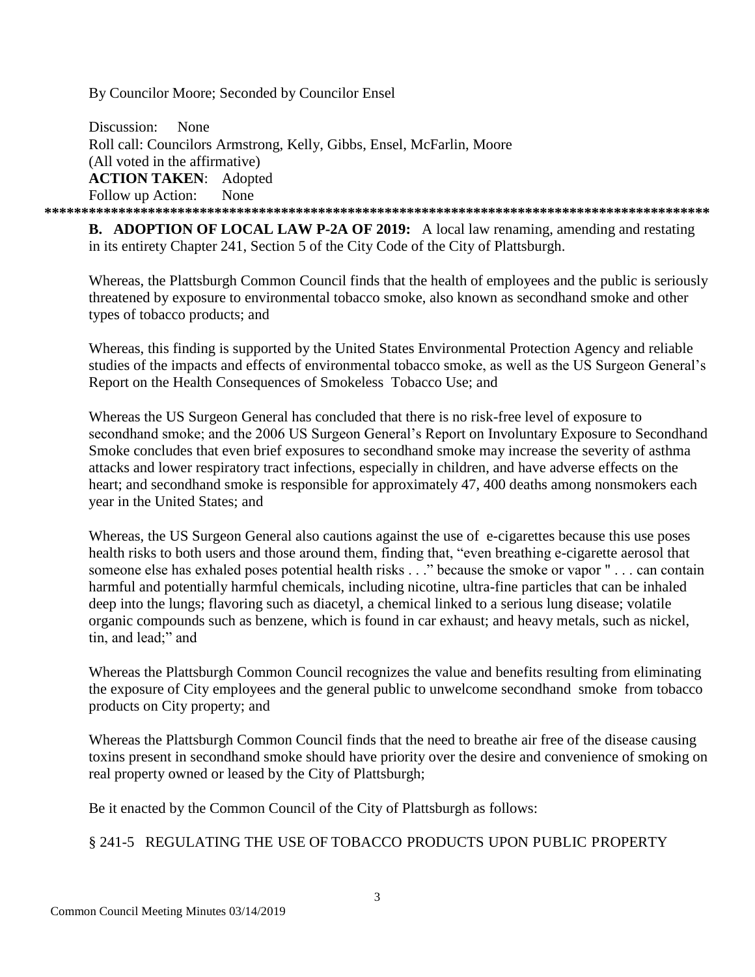By Councilor Moore; Seconded by Councilor Ensel

Discussion: None Roll call: Councilors Armstrong, Kelly, Gibbs, Ensel, McFarlin, Moore (All voted in the affirmative) **ACTION TAKEN**: Adopted Follow up Action: None **\*\*\*\*\*\*\*\*\*\*\*\*\*\*\*\*\*\*\*\*\*\*\*\*\*\*\*\*\*\*\*\*\*\*\*\*\*\*\*\*\*\*\*\*\*\*\*\*\*\*\*\*\*\*\*\*\*\*\*\*\*\*\*\*\*\*\*\*\*\*\*\*\*\*\*\*\*\*\*\*\*\*\*\*\*\*\*\*\*\***

**B. ADOPTION OF LOCAL LAW P-2A OF 2019:** A local law renaming, amending and restating in its entirety Chapter 241, Section 5 of the City Code of the City of Plattsburgh.

Whereas, the Plattsburgh Common Council finds that the health of employees and the public is seriously threatened by exposure to environmental tobacco smoke, also known as secondhand smoke and other types of tobacco products; and

Whereas, this finding is supported by the United States Environmental Protection Agency and reliable studies of the impacts and effects of environmental tobacco smoke, as well as the US Surgeon General's Report on the Health Consequences of Smokeless Tobacco Use; and

Whereas the US Surgeon General has concluded that there is no risk-free level of exposure to secondhand smoke; and the 2006 US Surgeon General's Report on Involuntary Exposure to Secondhand Smoke concludes that even brief exposures to secondhand smoke may increase the severity of asthma attacks and lower respiratory tract infections, especially in children, and have adverse effects on the heart; and secondhand smoke is responsible for approximately 47, 400 deaths among nonsmokers each year in the United States; and

Whereas, the US Surgeon General also cautions against the use of e-cigarettes because this use poses health risks to both users and those around them, finding that, "even breathing e-cigarette aerosol that someone else has exhaled poses potential health risks . . ." because the smoke or vapor " . . . can contain harmful and potentially harmful chemicals, including nicotine, ultra-fine particles that can be inhaled deep into the lungs; flavoring such as diacetyl, a chemical linked to a serious lung disease; volatile organic compounds such as benzene, which is found in car exhaust; and heavy metals, such as nickel, tin, and lead;" and

Whereas the Plattsburgh Common Council recognizes the value and benefits resulting from eliminating the exposure of City employees and the general public to unwelcome secondhand smoke from tobacco products on City property; and

Whereas the Plattsburgh Common Council finds that the need to breathe air free of the disease causing toxins present in secondhand smoke should have priority over the desire and convenience of smoking on real property owned or leased by the City of Plattsburgh;

Be it enacted by the Common Council of the City of Plattsburgh as follows:

## § 241-5 REGULATING THE USE OF TOBACCO PRODUCTS UPON PUBLIC PROPERTY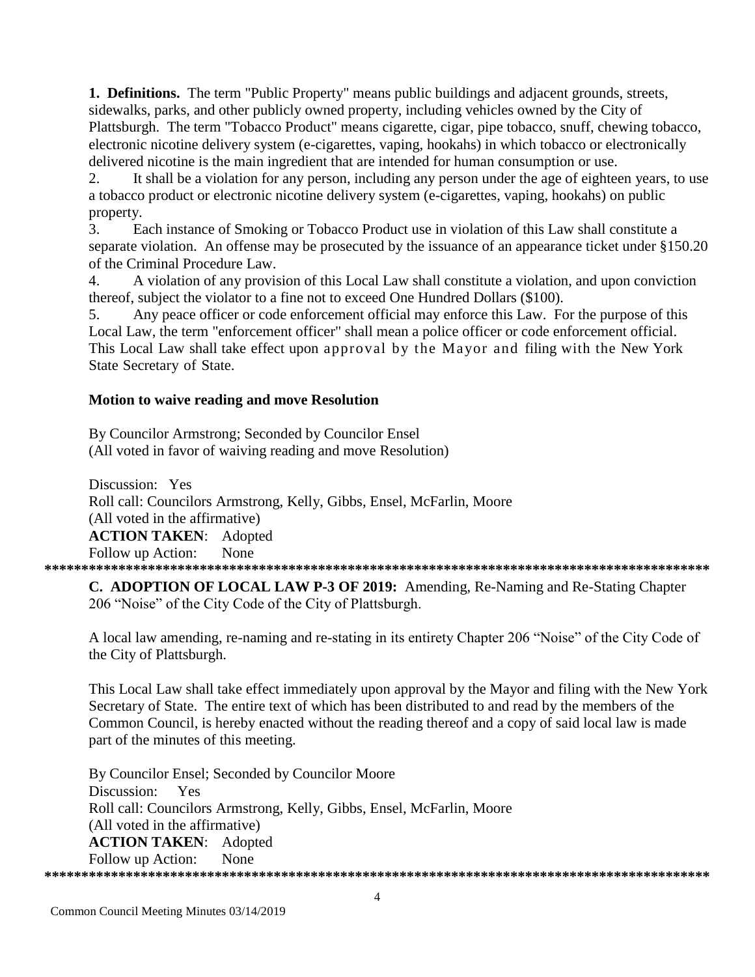1. Definitions. The term "Public Property" means public buildings and adjacent grounds, streets, sidewalks, parks, and other publicly owned property, including vehicles owned by the City of Plattsburgh. The term "Tobacco Product" means cigarette, cigar, pipe tobacco, snuff, chewing tobacco, electronic nicotine delivery system (e-cigarettes, vaping, hookahs) in which tobacco or electronically delivered nicotine is the main ingredient that are intended for human consumption or use.

It shall be a violation for any person, including any person under the age of eighteen years, to use  $\overline{2}$ . a tobacco product or electronic nicotine delivery system (e-cigarettes, vaping, hookahs) on public property.

Each instance of Smoking or Tobacco Product use in violation of this Law shall constitute a  $\mathcal{E}$ separate violation. An offense may be prosecuted by the issuance of an appearance ticket under §150.20 of the Criminal Procedure Law.

 $\overline{4}$ . A violation of any provision of this Local Law shall constitute a violation, and upon conviction thereof, subject the violator to a fine not to exceed One Hundred Dollars (\$100).

Any peace officer or code enforcement official may enforce this Law. For the purpose of this  $5<sub>1</sub>$ Local Law, the term "enforcement officer" shall mean a police officer or code enforcement official. This Local Law shall take effect upon approval by the Mayor and filing with the New York State Secretary of State.

### Motion to waive reading and move Resolution

By Councilor Armstrong; Seconded by Councilor Ensel (All voted in favor of waiving reading and move Resolution)

Discussion: Yes Roll call: Councilors Armstrong, Kelly, Gibbs, Ensel, McFarlin, Moore (All voted in the affirmative) **ACTION TAKEN: Adopted** Follow up Action: None 

C. ADOPTION OF LOCAL LAW P-3 OF 2019: Amending, Re-Naming and Re-Stating Chapter 206 "Noise" of the City Code of the City of Plattsburgh.

A local law amending, re-naming and re-stating in its entirety Chapter 206 "Noise" of the City Code of the City of Plattsburgh.

This Local Law shall take effect immediately upon approval by the Mayor and filing with the New York Secretary of State. The entire text of which has been distributed to and read by the members of the Common Council, is hereby enacted without the reading thereof and a copy of said local law is made part of the minutes of this meeting.

By Councilor Ensel; Seconded by Councilor Moore Discussion: Yes Roll call: Councilors Armstrong, Kelly, Gibbs, Ensel, McFarlin, Moore (All voted in the affirmative) **ACTION TAKEN: Adopted** Follow up Action: None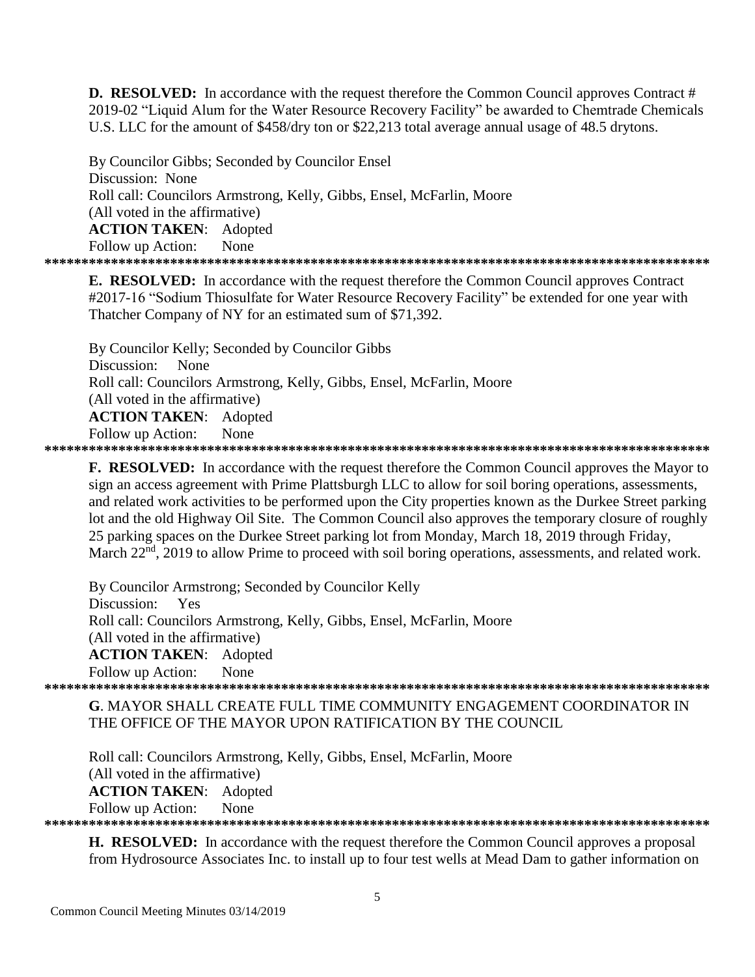**D. RESOLVED:** In accordance with the request therefore the Common Council approves Contract # 2019-02 "Liquid Alum for the Water Resource Recovery Facility" be awarded to Chemtrade Chemicals U.S. LLC for the amount of \$458/dry ton or \$22,213 total average annual usage of 48.5 drytons.

By Councilor Gibbs; Seconded by Councilor Ensel Discussion: None Roll call: Councilors Armstrong, Kelly, Gibbs, Ensel, McFarlin, Moore (All voted in the affirmative) **ACTION TAKEN:** Adopted None Follow up Action: 

**E. RESOLVED:** In accordance with the request therefore the Common Council approves Contract #2017-16 "Sodium Thiosulfate for Water Resource Recovery Facility" be extended for one year with Thatcher Company of NY for an estimated sum of \$71,392.

By Councilor Kelly; Seconded by Councilor Gibbs Discussion: None Roll call: Councilors Armstrong, Kelly, Gibbs, Ensel, McFarlin, Moore (All voted in the affirmative) **ACTION TAKEN:** Adopted Follow up Action: None 

**F. RESOLVED:** In accordance with the request therefore the Common Council approves the Mayor to sign an access agreement with Prime Plattsburgh LLC to allow for soil boring operations, assessments, and related work activities to be performed upon the City properties known as the Durkee Street parking lot and the old Highway Oil Site. The Common Council also approves the temporary closure of roughly 25 parking spaces on the Durkee Street parking lot from Monday, March 18, 2019 through Friday, March 22<sup>nd</sup>, 2019 to allow Prime to proceed with soil boring operations, assessments, and related work.

By Councilor Armstrong; Seconded by Councilor Kelly Discussion: Yes Roll call: Councilors Armstrong, Kelly, Gibbs, Ensel, McFarlin, Moore (All voted in the affirmative) **ACTION TAKEN:** Adopted Follow up Action: None 

G. MAYOR SHALL CREATE FULL TIME COMMUNITY ENGAGEMENT COORDINATOR IN THE OFFICE OF THE MAYOR UPON RATIFICATION BY THE COUNCIL

Roll call: Councilors Armstrong, Kelly, Gibbs, Ensel, McFarlin, Moore (All voted in the affirmative) **ACTION TAKEN:** Adopted Follow up Action: None 

**H. RESOLVED:** In accordance with the request therefore the Common Council approves a proposal from Hydrosource Associates Inc. to install up to four test wells at Mead Dam to gather information on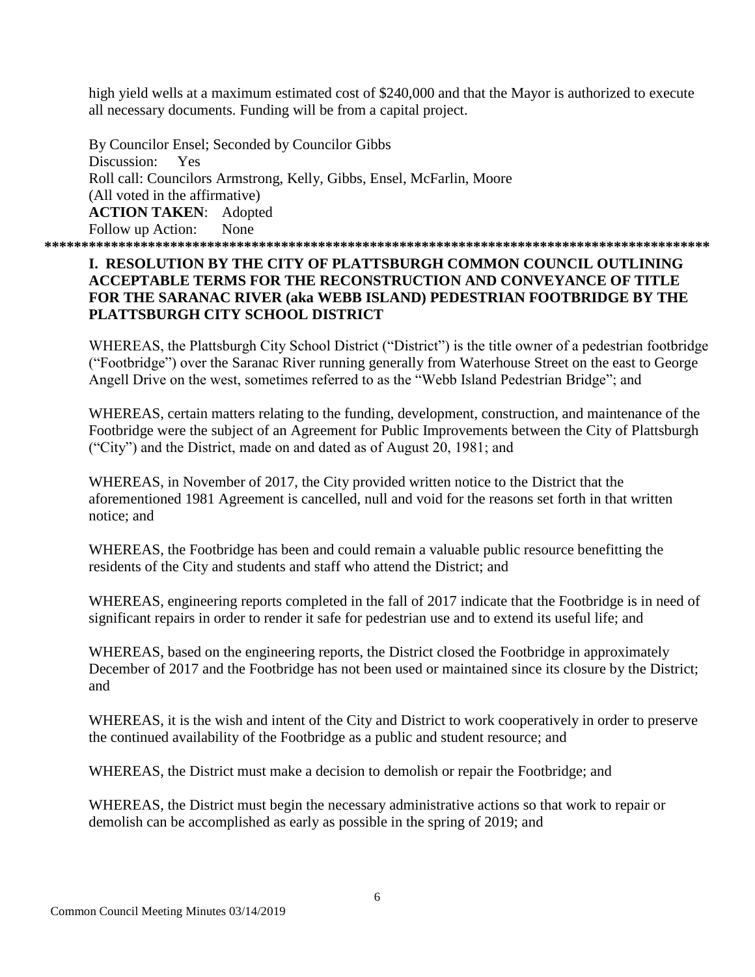high yield wells at a maximum estimated cost of \$240,000 and that the Mayor is authorized to execute all necessary documents. Funding will be from a capital project.

By Councilor Ensel; Seconded by Councilor Gibbs Discussion: Yes Roll call: Councilors Armstrong, Kelly, Gibbs, Ensel, McFarlin, Moore (All voted in the affirmative) **ACTION TAKEN**: Adopted Follow up Action: None **\*\*\*\*\*\*\*\*\*\*\*\*\*\*\*\*\*\*\*\*\*\*\*\*\*\*\*\*\*\*\*\*\*\*\*\*\*\*\*\*\*\*\*\*\*\*\*\*\*\*\*\*\*\*\*\*\*\*\*\*\*\*\*\*\*\*\*\*\*\*\*\*\*\*\*\*\*\*\*\*\*\*\*\*\*\*\*\*\*\***

#### **I. RESOLUTION BY THE CITY OF PLATTSBURGH COMMON COUNCIL OUTLINING ACCEPTABLE TERMS FOR THE RECONSTRUCTION AND CONVEYANCE OF TITLE FOR THE SARANAC RIVER (aka WEBB ISLAND) PEDESTRIAN FOOTBRIDGE BY THE PLATTSBURGH CITY SCHOOL DISTRICT**

WHEREAS, the Plattsburgh City School District ("District") is the title owner of a pedestrian footbridge ("Footbridge") over the Saranac River running generally from Waterhouse Street on the east to George Angell Drive on the west, sometimes referred to as the "Webb Island Pedestrian Bridge"; and

WHEREAS, certain matters relating to the funding, development, construction, and maintenance of the Footbridge were the subject of an Agreement for Public Improvements between the City of Plattsburgh ("City") and the District, made on and dated as of August 20, 1981; and

WHEREAS, in November of 2017, the City provided written notice to the District that the aforementioned 1981 Agreement is cancelled, null and void for the reasons set forth in that written notice; and

WHEREAS, the Footbridge has been and could remain a valuable public resource benefitting the residents of the City and students and staff who attend the District; and

WHEREAS, engineering reports completed in the fall of 2017 indicate that the Footbridge is in need of significant repairs in order to render it safe for pedestrian use and to extend its useful life; and

WHEREAS, based on the engineering reports, the District closed the Footbridge in approximately December of 2017 and the Footbridge has not been used or maintained since its closure by the District; and

WHEREAS, it is the wish and intent of the City and District to work cooperatively in order to preserve the continued availability of the Footbridge as a public and student resource; and

WHEREAS, the District must make a decision to demolish or repair the Footbridge; and

WHEREAS, the District must begin the necessary administrative actions so that work to repair or demolish can be accomplished as early as possible in the spring of 2019; and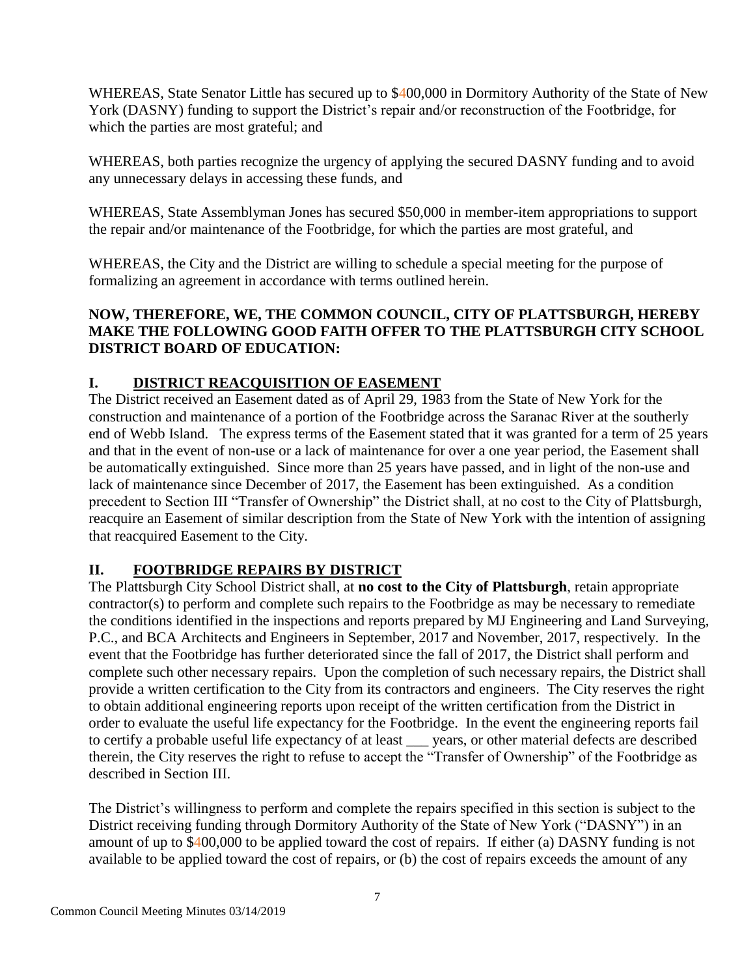WHEREAS, State Senator Little has secured up to \$400,000 in Dormitory Authority of the State of New York (DASNY) funding to support the District's repair and/or reconstruction of the Footbridge, for which the parties are most grateful; and

WHEREAS, both parties recognize the urgency of applying the secured DASNY funding and to avoid any unnecessary delays in accessing these funds, and

WHEREAS, State Assemblyman Jones has secured \$50,000 in member-item appropriations to support the repair and/or maintenance of the Footbridge, for which the parties are most grateful, and

WHEREAS, the City and the District are willing to schedule a special meeting for the purpose of formalizing an agreement in accordance with terms outlined herein.

### **NOW, THEREFORE, WE, THE COMMON COUNCIL, CITY OF PLATTSBURGH, HEREBY MAKE THE FOLLOWING GOOD FAITH OFFER TO THE PLATTSBURGH CITY SCHOOL DISTRICT BOARD OF EDUCATION:**

## **I. DISTRICT REACQUISITION OF EASEMENT**

The District received an Easement dated as of April 29, 1983 from the State of New York for the construction and maintenance of a portion of the Footbridge across the Saranac River at the southerly end of Webb Island. The express terms of the Easement stated that it was granted for a term of 25 years and that in the event of non-use or a lack of maintenance for over a one year period, the Easement shall be automatically extinguished. Since more than 25 years have passed, and in light of the non-use and lack of maintenance since December of 2017, the Easement has been extinguished. As a condition precedent to Section III "Transfer of Ownership" the District shall, at no cost to the City of Plattsburgh, reacquire an Easement of similar description from the State of New York with the intention of assigning that reacquired Easement to the City.

### **II. FOOTBRIDGE REPAIRS BY DISTRICT**

The Plattsburgh City School District shall, at **no cost to the City of Plattsburgh**, retain appropriate contractor(s) to perform and complete such repairs to the Footbridge as may be necessary to remediate the conditions identified in the inspections and reports prepared by MJ Engineering and Land Surveying, P.C., and BCA Architects and Engineers in September, 2017 and November, 2017, respectively. In the event that the Footbridge has further deteriorated since the fall of 2017, the District shall perform and complete such other necessary repairs. Upon the completion of such necessary repairs, the District shall provide a written certification to the City from its contractors and engineers. The City reserves the right to obtain additional engineering reports upon receipt of the written certification from the District in order to evaluate the useful life expectancy for the Footbridge. In the event the engineering reports fail to certify a probable useful life expectancy of at least \_\_\_ years, or other material defects are described therein, the City reserves the right to refuse to accept the "Transfer of Ownership" of the Footbridge as described in Section III.

The District's willingness to perform and complete the repairs specified in this section is subject to the District receiving funding through Dormitory Authority of the State of New York ("DASNY") in an amount of up to \$400,000 to be applied toward the cost of repairs. If either (a) DASNY funding is not available to be applied toward the cost of repairs, or (b) the cost of repairs exceeds the amount of any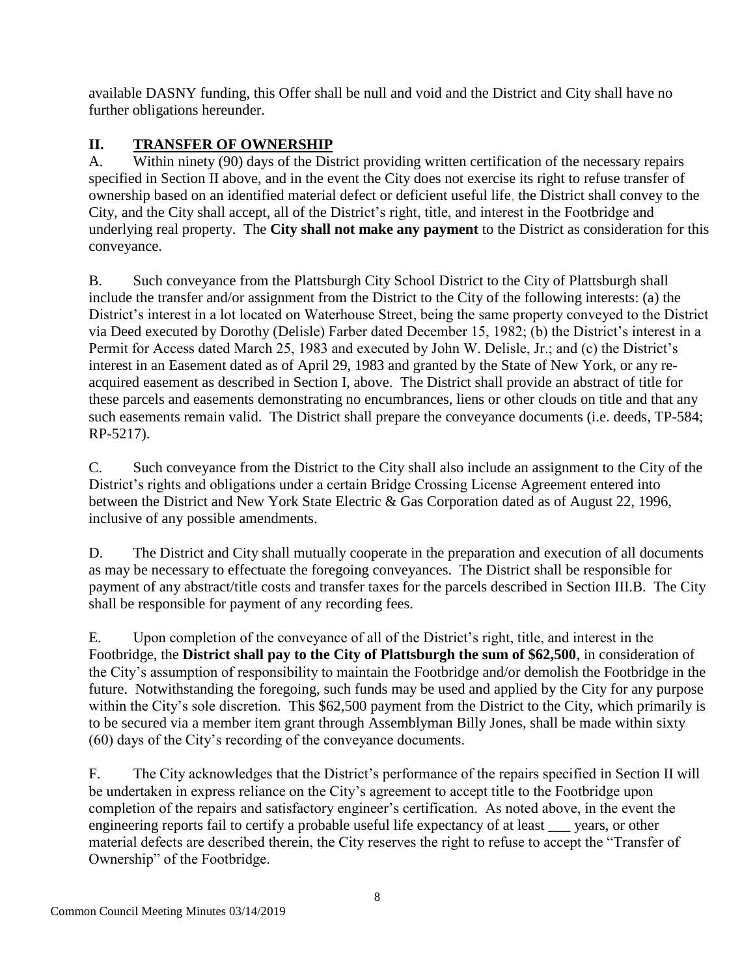available DASNY funding, this Offer shall be null and void and the District and City shall have no further obligations hereunder.

## **II. TRANSFER OF OWNERSHIP**

A. Within ninety (90) days of the District providing written certification of the necessary repairs specified in Section II above, and in the event the City does not exercise its right to refuse transfer of ownership based on an identified material defect or deficient useful life, the District shall convey to the City, and the City shall accept, all of the District's right, title, and interest in the Footbridge and underlying real property. The **City shall not make any payment** to the District as consideration for this conveyance.

B. Such conveyance from the Plattsburgh City School District to the City of Plattsburgh shall include the transfer and/or assignment from the District to the City of the following interests: (a) the District's interest in a lot located on Waterhouse Street, being the same property conveyed to the District via Deed executed by Dorothy (Delisle) Farber dated December 15, 1982; (b) the District's interest in a Permit for Access dated March 25, 1983 and executed by John W. Delisle, Jr.; and (c) the District's interest in an Easement dated as of April 29, 1983 and granted by the State of New York, or any reacquired easement as described in Section I, above. The District shall provide an abstract of title for these parcels and easements demonstrating no encumbrances, liens or other clouds on title and that any such easements remain valid. The District shall prepare the conveyance documents (i.e. deeds, TP-584; RP-5217).

C. Such conveyance from the District to the City shall also include an assignment to the City of the District's rights and obligations under a certain Bridge Crossing License Agreement entered into between the District and New York State Electric & Gas Corporation dated as of August 22, 1996, inclusive of any possible amendments.

D. The District and City shall mutually cooperate in the preparation and execution of all documents as may be necessary to effectuate the foregoing conveyances. The District shall be responsible for payment of any abstract/title costs and transfer taxes for the parcels described in Section III.B. The City shall be responsible for payment of any recording fees.

E. Upon completion of the conveyance of all of the District's right, title, and interest in the Footbridge, the **District shall pay to the City of Plattsburgh the sum of \$62,500**, in consideration of the City's assumption of responsibility to maintain the Footbridge and/or demolish the Footbridge in the future. Notwithstanding the foregoing, such funds may be used and applied by the City for any purpose within the City's sole discretion. This \$62,500 payment from the District to the City, which primarily is to be secured via a member item grant through Assemblyman Billy Jones, shall be made within sixty (60) days of the City's recording of the conveyance documents.

F. The City acknowledges that the District's performance of the repairs specified in Section II will be undertaken in express reliance on the City's agreement to accept title to the Footbridge upon completion of the repairs and satisfactory engineer's certification. As noted above, in the event the engineering reports fail to certify a probable useful life expectancy of at least \_\_\_ years, or other material defects are described therein, the City reserves the right to refuse to accept the "Transfer of Ownership" of the Footbridge.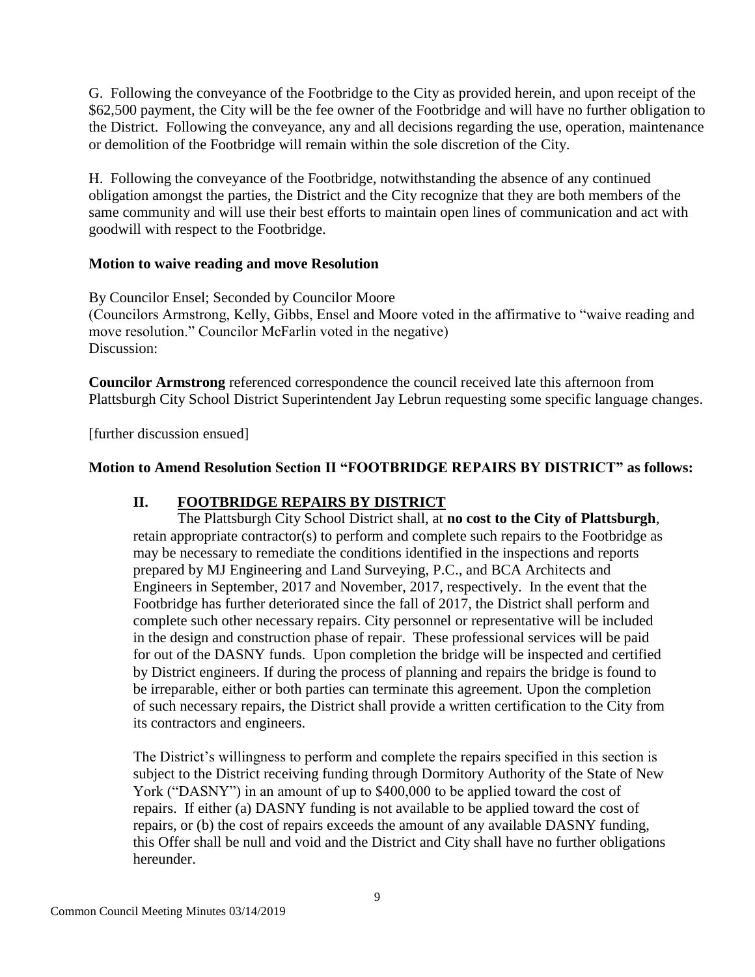G. Following the conveyance of the Footbridge to the City as provided herein, and upon receipt of the \$62,500 payment, the City will be the fee owner of the Footbridge and will have no further obligation to the District. Following the conveyance, any and all decisions regarding the use, operation, maintenance or demolition of the Footbridge will remain within the sole discretion of the City.

H. Following the conveyance of the Footbridge, notwithstanding the absence of any continued obligation amongst the parties, the District and the City recognize that they are both members of the same community and will use their best efforts to maintain open lines of communication and act with goodwill with respect to the Footbridge.

### **Motion to waive reading and move Resolution**

By Councilor Ensel; Seconded by Councilor Moore (Councilors Armstrong, Kelly, Gibbs, Ensel and Moore voted in the affirmative to "waive reading and move resolution." Councilor McFarlin voted in the negative) Discussion:

**Councilor Armstrong** referenced correspondence the council received late this afternoon from Plattsburgh City School District Superintendent Jay Lebrun requesting some specific language changes.

[further discussion ensued]

### **Motion to Amend Resolution Section II "FOOTBRIDGE REPAIRS BY DISTRICT" as follows:**

### **II. FOOTBRIDGE REPAIRS BY DISTRICT**

The Plattsburgh City School District shall, at **no cost to the City of Plattsburgh**, retain appropriate contractor(s) to perform and complete such repairs to the Footbridge as may be necessary to remediate the conditions identified in the inspections and reports prepared by MJ Engineering and Land Surveying, P.C., and BCA Architects and Engineers in September, 2017 and November, 2017, respectively. In the event that the Footbridge has further deteriorated since the fall of 2017, the District shall perform and complete such other necessary repairs. City personnel or representative will be included in the design and construction phase of repair. These professional services will be paid for out of the DASNY funds. Upon completion the bridge will be inspected and certified by District engineers. If during the process of planning and repairs the bridge is found to be irreparable, either or both parties can terminate this agreement. Upon the completion of such necessary repairs, the District shall provide a written certification to the City from its contractors and engineers.

The District's willingness to perform and complete the repairs specified in this section is subject to the District receiving funding through Dormitory Authority of the State of New York ("DASNY") in an amount of up to \$400,000 to be applied toward the cost of repairs. If either (a) DASNY funding is not available to be applied toward the cost of repairs, or (b) the cost of repairs exceeds the amount of any available DASNY funding, this Offer shall be null and void and the District and City shall have no further obligations hereunder.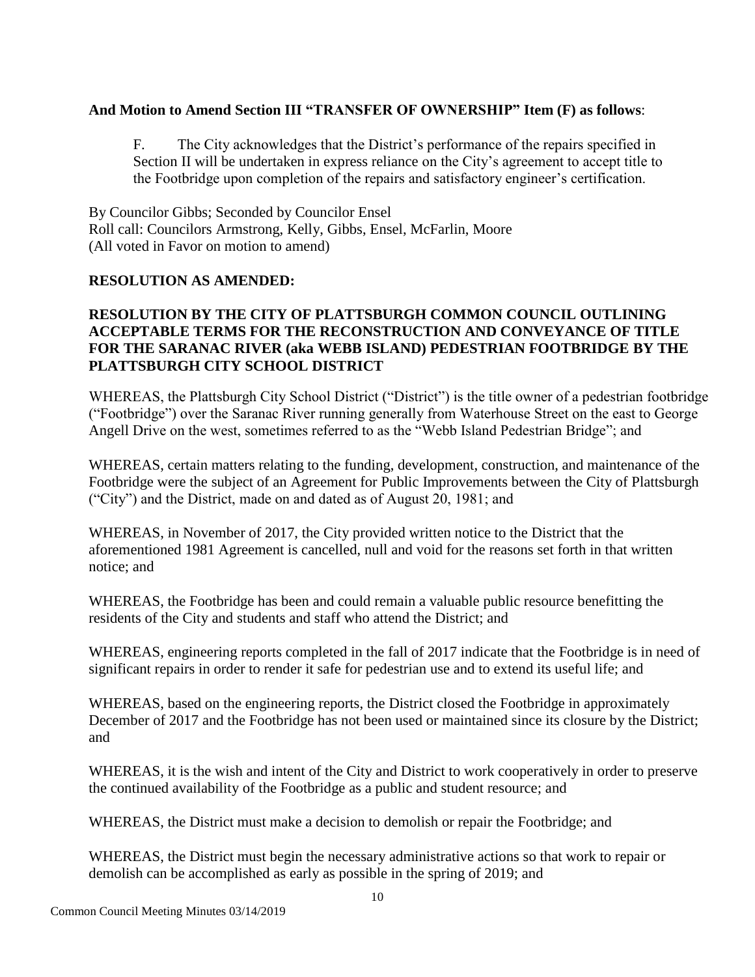### **And Motion to Amend Section III "TRANSFER OF OWNERSHIP" Item (F) as follows**:

F. The City acknowledges that the District's performance of the repairs specified in Section II will be undertaken in express reliance on the City's agreement to accept title to the Footbridge upon completion of the repairs and satisfactory engineer's certification.

By Councilor Gibbs; Seconded by Councilor Ensel Roll call: Councilors Armstrong, Kelly, Gibbs, Ensel, McFarlin, Moore (All voted in Favor on motion to amend)

### **RESOLUTION AS AMENDED:**

### **RESOLUTION BY THE CITY OF PLATTSBURGH COMMON COUNCIL OUTLINING ACCEPTABLE TERMS FOR THE RECONSTRUCTION AND CONVEYANCE OF TITLE FOR THE SARANAC RIVER (aka WEBB ISLAND) PEDESTRIAN FOOTBRIDGE BY THE PLATTSBURGH CITY SCHOOL DISTRICT**

WHEREAS, the Plattsburgh City School District ("District") is the title owner of a pedestrian footbridge ("Footbridge") over the Saranac River running generally from Waterhouse Street on the east to George Angell Drive on the west, sometimes referred to as the "Webb Island Pedestrian Bridge"; and

WHEREAS, certain matters relating to the funding, development, construction, and maintenance of the Footbridge were the subject of an Agreement for Public Improvements between the City of Plattsburgh ("City") and the District, made on and dated as of August 20, 1981; and

WHEREAS, in November of 2017, the City provided written notice to the District that the aforementioned 1981 Agreement is cancelled, null and void for the reasons set forth in that written notice; and

WHEREAS, the Footbridge has been and could remain a valuable public resource benefitting the residents of the City and students and staff who attend the District; and

WHEREAS, engineering reports completed in the fall of 2017 indicate that the Footbridge is in need of significant repairs in order to render it safe for pedestrian use and to extend its useful life; and

WHEREAS, based on the engineering reports, the District closed the Footbridge in approximately December of 2017 and the Footbridge has not been used or maintained since its closure by the District; and

WHEREAS, it is the wish and intent of the City and District to work cooperatively in order to preserve the continued availability of the Footbridge as a public and student resource; and

WHEREAS, the District must make a decision to demolish or repair the Footbridge; and

WHEREAS, the District must begin the necessary administrative actions so that work to repair or demolish can be accomplished as early as possible in the spring of 2019; and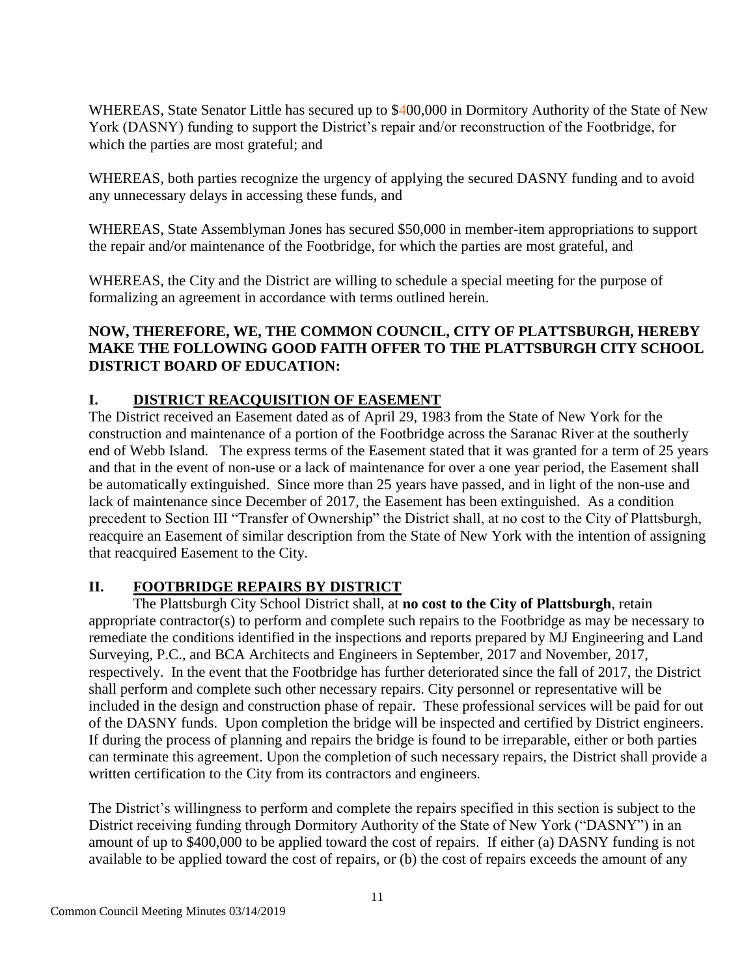WHEREAS, State Senator Little has secured up to \$400,000 in Dormitory Authority of the State of New York (DASNY) funding to support the District's repair and/or reconstruction of the Footbridge, for which the parties are most grateful; and

WHEREAS, both parties recognize the urgency of applying the secured DASNY funding and to avoid any unnecessary delays in accessing these funds, and

WHEREAS, State Assemblyman Jones has secured \$50,000 in member-item appropriations to support the repair and/or maintenance of the Footbridge, for which the parties are most grateful, and

WHEREAS, the City and the District are willing to schedule a special meeting for the purpose of formalizing an agreement in accordance with terms outlined herein.

## **NOW, THEREFORE, WE, THE COMMON COUNCIL, CITY OF PLATTSBURGH, HEREBY MAKE THE FOLLOWING GOOD FAITH OFFER TO THE PLATTSBURGH CITY SCHOOL DISTRICT BOARD OF EDUCATION:**

## **I. DISTRICT REACQUISITION OF EASEMENT**

The District received an Easement dated as of April 29, 1983 from the State of New York for the construction and maintenance of a portion of the Footbridge across the Saranac River at the southerly end of Webb Island. The express terms of the Easement stated that it was granted for a term of 25 years and that in the event of non-use or a lack of maintenance for over a one year period, the Easement shall be automatically extinguished. Since more than 25 years have passed, and in light of the non-use and lack of maintenance since December of 2017, the Easement has been extinguished. As a condition precedent to Section III "Transfer of Ownership" the District shall, at no cost to the City of Plattsburgh, reacquire an Easement of similar description from the State of New York with the intention of assigning that reacquired Easement to the City.

### **II. FOOTBRIDGE REPAIRS BY DISTRICT**

The Plattsburgh City School District shall, at **no cost to the City of Plattsburgh**, retain appropriate contractor(s) to perform and complete such repairs to the Footbridge as may be necessary to remediate the conditions identified in the inspections and reports prepared by MJ Engineering and Land Surveying, P.C., and BCA Architects and Engineers in September, 2017 and November, 2017, respectively. In the event that the Footbridge has further deteriorated since the fall of 2017, the District shall perform and complete such other necessary repairs. City personnel or representative will be included in the design and construction phase of repair. These professional services will be paid for out of the DASNY funds. Upon completion the bridge will be inspected and certified by District engineers. If during the process of planning and repairs the bridge is found to be irreparable, either or both parties can terminate this agreement. Upon the completion of such necessary repairs, the District shall provide a written certification to the City from its contractors and engineers.

The District's willingness to perform and complete the repairs specified in this section is subject to the District receiving funding through Dormitory Authority of the State of New York ("DASNY") in an amount of up to \$400,000 to be applied toward the cost of repairs. If either (a) DASNY funding is not available to be applied toward the cost of repairs, or (b) the cost of repairs exceeds the amount of any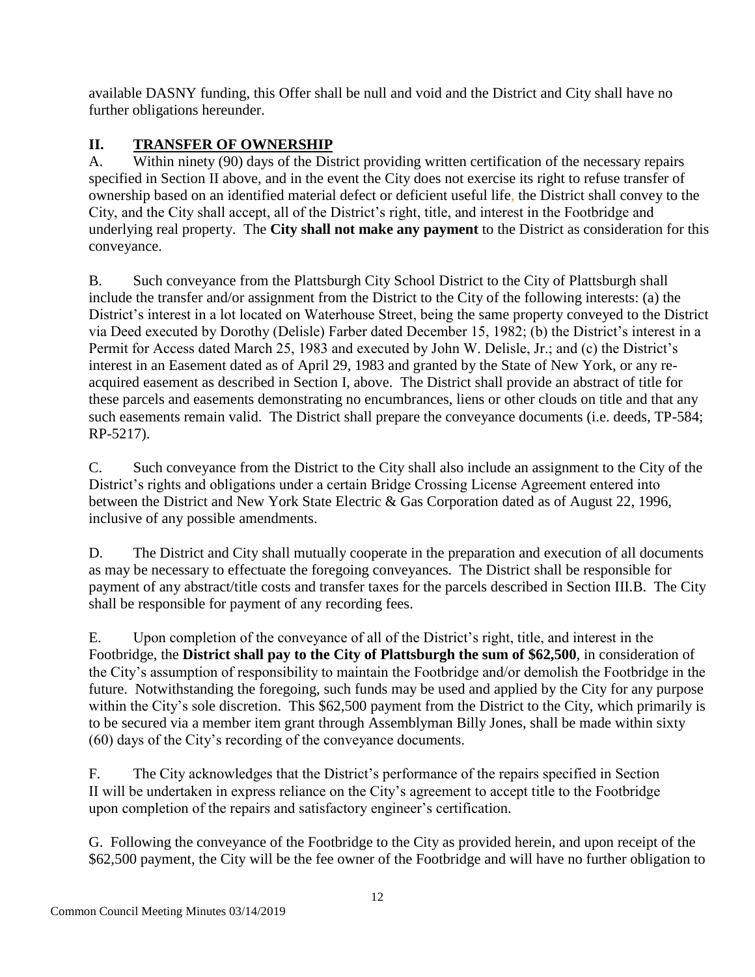available DASNY funding, this Offer shall be null and void and the District and City shall have no further obligations hereunder.

# **II. TRANSFER OF OWNERSHIP**

A. Within ninety (90) days of the District providing written certification of the necessary repairs specified in Section II above, and in the event the City does not exercise its right to refuse transfer of ownership based on an identified material defect or deficient useful life, the District shall convey to the City, and the City shall accept, all of the District's right, title, and interest in the Footbridge and underlying real property. The **City shall not make any payment** to the District as consideration for this conveyance.

B. Such conveyance from the Plattsburgh City School District to the City of Plattsburgh shall include the transfer and/or assignment from the District to the City of the following interests: (a) the District's interest in a lot located on Waterhouse Street, being the same property conveyed to the District via Deed executed by Dorothy (Delisle) Farber dated December 15, 1982; (b) the District's interest in a Permit for Access dated March 25, 1983 and executed by John W. Delisle, Jr.; and (c) the District's interest in an Easement dated as of April 29, 1983 and granted by the State of New York, or any reacquired easement as described in Section I, above. The District shall provide an abstract of title for these parcels and easements demonstrating no encumbrances, liens or other clouds on title and that any such easements remain valid. The District shall prepare the conveyance documents (i.e. deeds, TP-584; RP-5217).

C. Such conveyance from the District to the City shall also include an assignment to the City of the District's rights and obligations under a certain Bridge Crossing License Agreement entered into between the District and New York State Electric & Gas Corporation dated as of August 22, 1996, inclusive of any possible amendments.

D. The District and City shall mutually cooperate in the preparation and execution of all documents as may be necessary to effectuate the foregoing conveyances. The District shall be responsible for payment of any abstract/title costs and transfer taxes for the parcels described in Section III.B. The City shall be responsible for payment of any recording fees.

E. Upon completion of the conveyance of all of the District's right, title, and interest in the Footbridge, the **District shall pay to the City of Plattsburgh the sum of \$62,500**, in consideration of the City's assumption of responsibility to maintain the Footbridge and/or demolish the Footbridge in the future. Notwithstanding the foregoing, such funds may be used and applied by the City for any purpose within the City's sole discretion. This \$62,500 payment from the District to the City, which primarily is to be secured via a member item grant through Assemblyman Billy Jones, shall be made within sixty (60) days of the City's recording of the conveyance documents.

F. The City acknowledges that the District's performance of the repairs specified in Section II will be undertaken in express reliance on the City's agreement to accept title to the Footbridge upon completion of the repairs and satisfactory engineer's certification.

G. Following the conveyance of the Footbridge to the City as provided herein, and upon receipt of the \$62,500 payment, the City will be the fee owner of the Footbridge and will have no further obligation to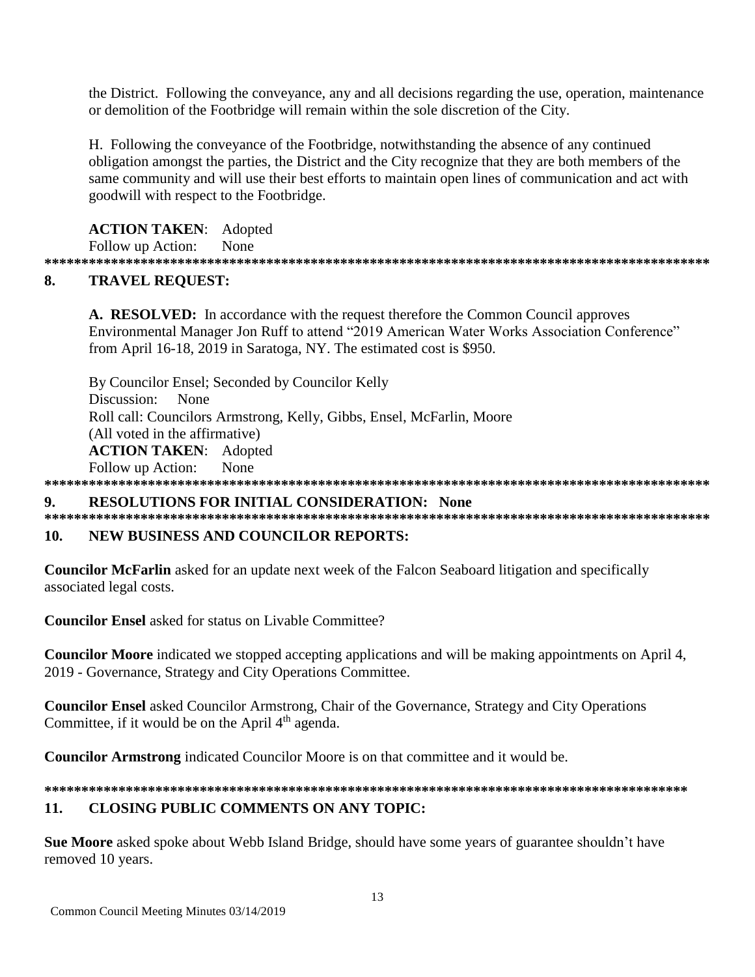the District. Following the conveyance, any and all decisions regarding the use, operation, maintenance or demolition of the Footbridge will remain within the sole discretion of the City.

H. Following the convevance of the Footbridge, notwithstanding the absence of any continued obligation amongst the parties, the District and the City recognize that they are both members of the same community and will use their best efforts to maintain open lines of communication and act with goodwill with respect to the Footbridge.

### **ACTION TAKEN:** Adopted

Follow up Action: None

#### 8. **TRAVEL REOUEST:**

A. RESOLVED: In accordance with the request therefore the Common Council approves Environmental Manager Jon Ruff to attend "2019 American Water Works Association Conference" from April 16-18, 2019 in Saratoga, NY. The estimated cost is \$950.

By Councilor Ensel; Seconded by Councilor Kelly Discussion: None Roll call: Councilors Armstrong, Kelly, Gibbs, Ensel, McFarlin, Moore (All voted in the affirmative) **ACTION TAKEN:** Adopted Follow up Action: None 

#### $\mathbf{Q}$ **RESOLUTIONS FOR INITIAL CONSIDERATION: None**

#### $10.$ **NEW BUSINESS AND COUNCILOR REPORTS:**

**Councilor McFarlin** asked for an update next week of the Falcon Seaboard litigation and specifically associated legal costs.

**Councilor Ensel** asked for status on Livable Committee?

**Councilor Moore** indicated we stopped accepting applications and will be making appointments on April 4, 2019 - Governance, Strategy and City Operations Committee.

**Councilor Ensel** asked Councilor Armstrong, Chair of the Governance, Strategy and City Operations Committee, if it would be on the April 4<sup>th</sup> agenda.

**Councilor Armstrong** indicated Councilor Moore is on that committee and it would be.

#### 11. **CLOSING PUBLIC COMMENTS ON ANY TOPIC:**

**Sue Moore** asked spoke about Webb Island Bridge, should have some years of guarantee shouldn't have removed 10 years.